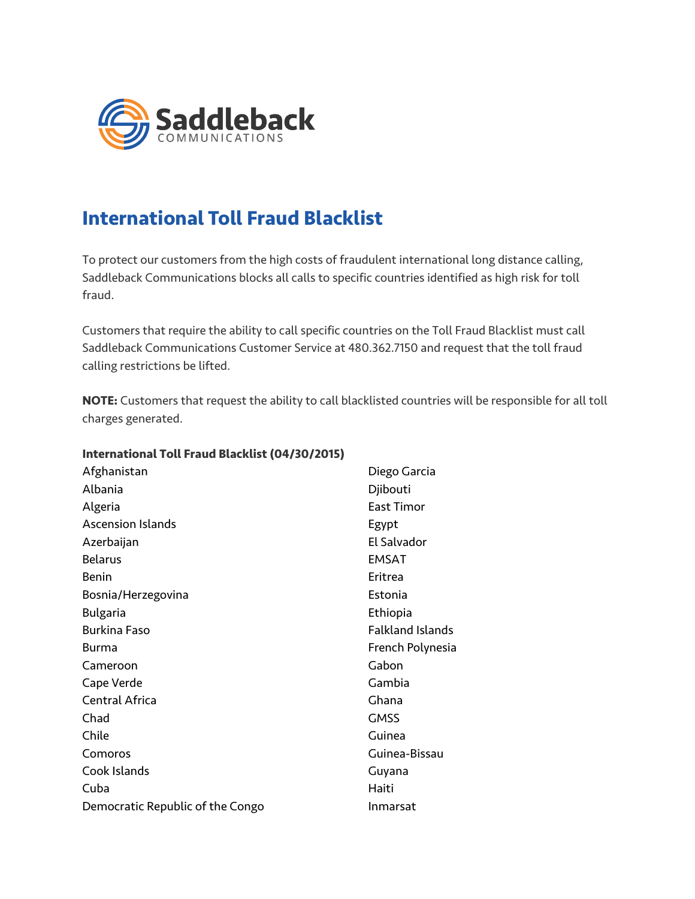

## **International Toll Fraud Blacklist**

To protect our customers from the high costs of fraudulent international long distance calling, Saddleback Communications blocks all calls to specific countries identified as high risk for toll fraud.

Customers that require the ability to call specific countries on the Toll Fraud Blacklist must call Saddleback Communications Customer Service at 480.362.7150 and request that the toll fraud calling restrictions be lifted.

**NOTE:** Customers that request the ability to call blacklisted countries will be responsible for all toll charges generated.

**International Toll Fraud Blacklist (04/30/2015)**

| Afghanistan                      | Diego Garcia            |
|----------------------------------|-------------------------|
| Albania                          | Djibouti                |
| Algeria                          | <b>East Timor</b>       |
| <b>Ascension Islands</b>         | Egypt                   |
| Azerbaijan                       | El Salvador             |
| <b>Belarus</b>                   | <b>EMSAT</b>            |
| <b>Benin</b>                     | Eritrea                 |
| Bosnia/Herzegovina               | Estonia                 |
| <b>Bulgaria</b>                  | Ethiopia                |
| <b>Burkina Faso</b>              | <b>Falkland Islands</b> |
| Burma                            | French Polynesia        |
| Cameroon                         | Gabon                   |
| Cape Verde                       | Gambia                  |
| <b>Central Africa</b>            | Ghana                   |
| Chad                             | <b>GMSS</b>             |
| Chile                            | Guinea                  |
| Comoros                          | Guinea-Bissau           |
| Cook Islands                     | Guyana                  |
| Cuba                             | Haiti                   |
| Democratic Republic of the Congo | <b>Inmarsat</b>         |